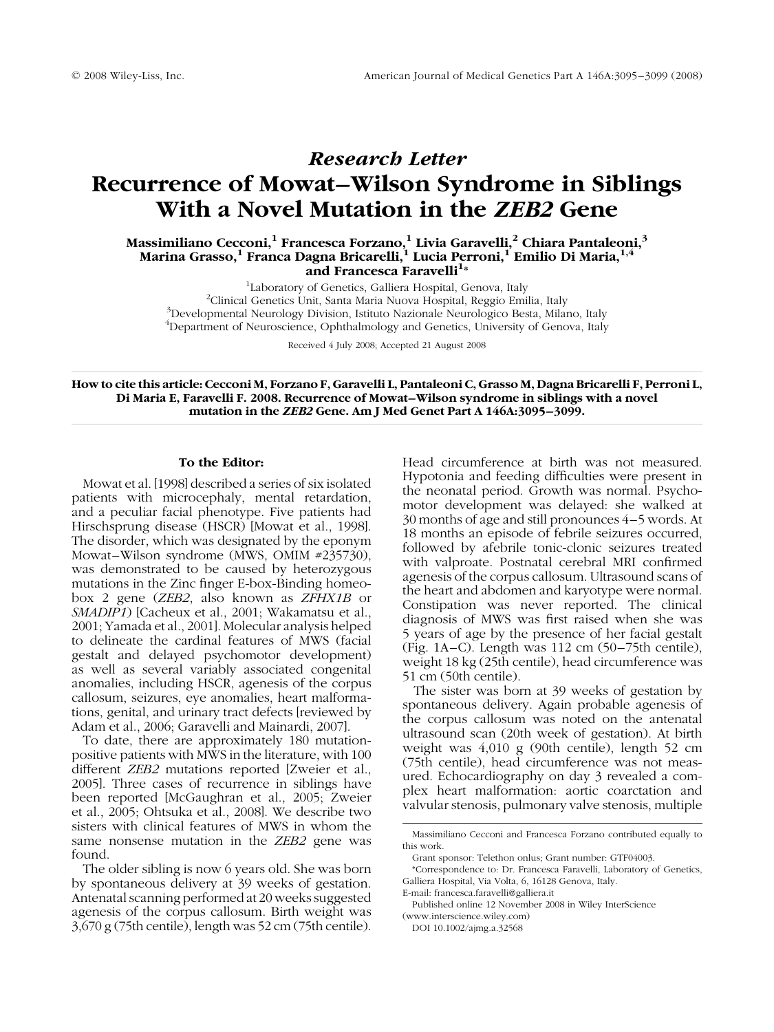# Research Letter Recurrence of Mowat–Wilson Syndrome in Siblings With a Novel Mutation in the ZEB2 Gene

Massimiliano Cecconi, $^1$  Francesca Forzano, $^1$  Livia Garavelli, $^2$  Chiara Pantaleoni, $^3$ Marina Grasso, $^{\rm 1}$  Franca Dagna Bricarelli, $^{\rm 1}$  Lucia Perroni, $^{\rm 1}$  Emilio Di Maria, $^{\rm 1,4}$ and Francesca Faravelli<sup>1</sup>\*

<sup>1</sup>Laboratory of Genetics, Galliera Hospital, Genova, Italy<br><sup>2</sup>Clinical Genetics Unit, Santa Maria Nuova Hospital, Reggio Emi <sup>2</sup>Clinical Genetics Unit, Santa Maria Nuova Hospital, Reggio Emilia, Italy Developmental Neurology Division, Istituto Nazionale Neurologico Besta, Milano, Italy <sup>4</sup>Department of Neuroscience, Ophthalmology and Genetics, University of Genova, Italy

Received 4 July 2008; Accepted 21 August 2008

How to cite this article: Cecconi M, Forzano F, Garavelli L, Pantaleoni C, Grasso M, Dagna Bricarelli F, Perroni L, Di Maria E, Faravelli F. 2008. Recurrence of Mowat–Wilson syndrome in siblings with a novel mutation in the ZEB2 Gene. Am J Med Genet Part A 146A:3095–3099.

#### To the Editor:

Mowat et al. [1998] described a series of six isolated patients with microcephaly, mental retardation, and a peculiar facial phenotype. Five patients had Hirschsprung disease (HSCR) [Mowat et al., 1998]. The disorder, which was designated by the eponym Mowat–Wilson syndrome (MWS, OMIM #235730), was demonstrated to be caused by heterozygous mutations in the Zinc finger E-box-Binding homeobox 2 gene (ZEB2, also known as ZFHX1B or SMADIP1) [Cacheux et al., 2001; Wakamatsu et al., 2001; Yamada et al., 2001]. Molecular analysis helped to delineate the cardinal features of MWS (facial gestalt and delayed psychomotor development) as well as several variably associated congenital anomalies, including HSCR, agenesis of the corpus callosum, seizures, eye anomalies, heart malformations, genital, and urinary tract defects [reviewed by Adam et al., 2006; Garavelli and Mainardi, 2007].

To date, there are approximately 180 mutationpositive patients with MWS in the literature, with 100 different ZEB2 mutations reported [Zweier et al., 2005]. Three cases of recurrence in siblings have been reported [McGaughran et al., 2005; Zweier et al., 2005; Ohtsuka et al., 2008]. We describe two sisters with clinical features of MWS in whom the same nonsense mutation in the *ZEB2* gene was found.

The older sibling is now 6 years old. She was born by spontaneous delivery at 39 weeks of gestation. Antenatal scanning performed at 20 weeks suggested agenesis of the corpus callosum. Birth weight was 3,670 g (75th centile), length was 52 cm (75th centile). Head circumference at birth was not measured. Hypotonia and feeding difficulties were present in the neonatal period. Growth was normal. Psychomotor development was delayed: she walked at 30 months of age and still pronounces 4–5 words. At 18 months an episode of febrile seizures occurred, followed by afebrile tonic-clonic seizures treated with valproate. Postnatal cerebral MRI confirmed agenesis of the corpus callosum. Ultrasound scans of the heart and abdomen and karyotype were normal. Constipation was never reported. The clinical diagnosis of MWS was first raised when she was 5 years of age by the presence of her facial gestalt (Fig. 1A–C). Length was 112 cm (50–75th centile), weight 18 kg (25th centile), head circumference was 51 cm (50th centile).

The sister was born at 39 weeks of gestation by spontaneous delivery. Again probable agenesis of the corpus callosum was noted on the antenatal ultrasound scan (20th week of gestation). At birth weight was 4,010 g (90th centile), length 52 cm (75th centile), head circumference was not measured. Echocardiography on day 3 revealed a complex heart malformation: aortic coarctation and valvular stenosis, pulmonary valve stenosis, multiple

Massimiliano Cecconi and Francesca Forzano contributed equally to this work.

Grant sponsor: Telethon onlus; Grant number: GTF04003.

<sup>\*</sup>Correspondence to: Dr. Francesca Faravelli, Laboratory of Genetics, Galliera Hospital, Via Volta, 6, 16128 Genova, Italy.

E-mail: francesca.faravelli@galliera.it

Published online 12 November 2008 in Wiley InterScience (www.interscience.wiley.com)

DOI 10.1002/ajmg.a.32568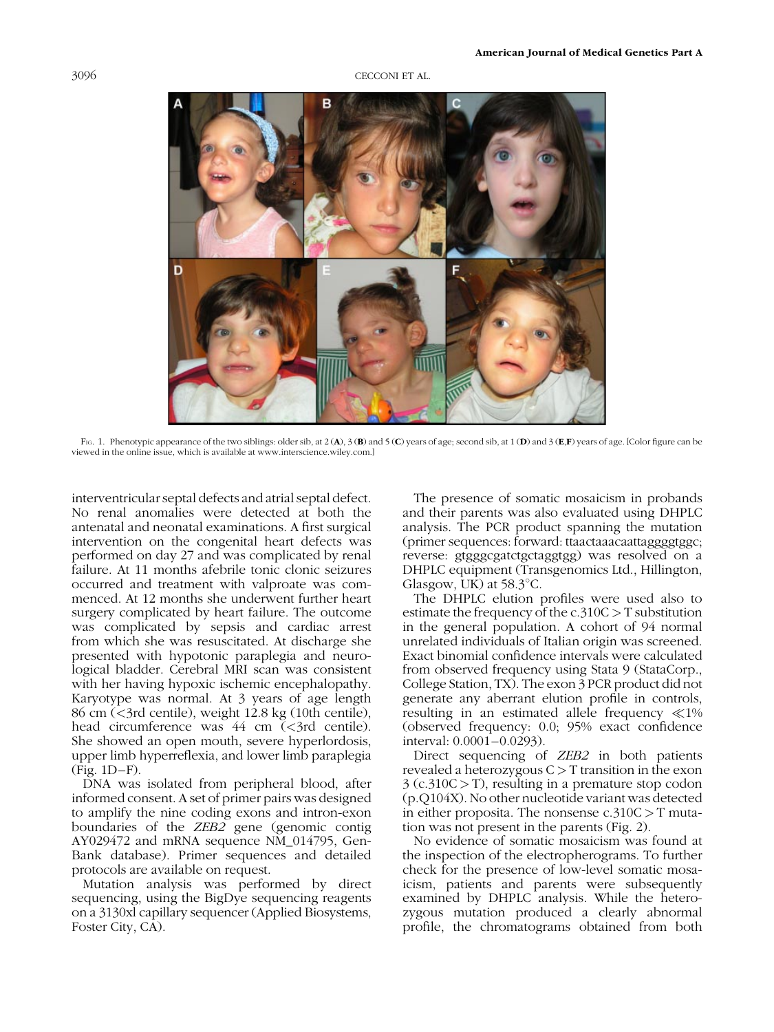## 3096 CECCONI ET AL.



FIG. 1. Phenotypic appearance of the two siblings: older sib, at 2 (A), 3 (B) and 5 (C) years of age; second sib, at 1 (D) and 3 (E,F) years of age. [Color figure can be viewed in the online issue, which is available at www.interscience.wiley.com.]

interventricular septal defects and atrial septal defect. No renal anomalies were detected at both the antenatal and neonatal examinations. A first surgical intervention on the congenital heart defects was performed on day 27 and was complicated by renal failure. At 11 months afebrile tonic clonic seizures occurred and treatment with valproate was commenced. At 12 months she underwent further heart surgery complicated by heart failure. The outcome was complicated by sepsis and cardiac arrest from which she was resuscitated. At discharge she presented with hypotonic paraplegia and neurological bladder. Cerebral MRI scan was consistent with her having hypoxic ischemic encephalopathy. Karyotype was normal. At 3 years of age length 86 cm (<3rd centile), weight 12.8 kg (10th centile), head circumference was 44 cm (<3rd centile). She showed an open mouth, severe hyperlordosis, upper limb hyperreflexia, and lower limb paraplegia (Fig. 1D–F).

DNA was isolated from peripheral blood, after informed consent. A set of primer pairs was designed to amplify the nine coding exons and intron-exon boundaries of the ZEB2 gene (genomic contig AY029472 and mRNA sequence NM\_014795, Gen-Bank database). Primer sequences and detailed protocols are available on request.

Mutation analysis was performed by direct sequencing, using the BigDye sequencing reagents on a 3130xl capillary sequencer (Applied Biosystems, Foster City, CA).

The presence of somatic mosaicism in probands and their parents was also evaluated using DHPLC analysis. The PCR product spanning the mutation (primer sequences: forward: ttaactaaacaattaggggtggc; reverse: gtgggcgatctgctaggtgg) was resolved on a DHPLC equipment (Transgenomics Ltd., Hillington, Glasgow, UK) at  $58.3^{\circ}$ C.

The DHPLC elution profiles were used also to estimate the frequency of the c.310C  $> T$  substitution in the general population. A cohort of 94 normal unrelated individuals of Italian origin was screened. Exact binomial confidence intervals were calculated from observed frequency using Stata 9 (StataCorp., College Station, TX). The exon 3 PCR product did not generate any aberrant elution profile in controls, resulting in an estimated allele frequency  $\ll 1\%$ (observed frequency: 0.0; 95% exact confidence interval: 0.0001–0.0293).

Direct sequencing of *ZEB2* in both patients revealed a heterozygous  $C > T$  transition in the exon  $3$  (c.310C  $>$  T), resulting in a premature stop codon (p.Q104X). No other nucleotide variant was detected in either proposita. The nonsense  $c.310C > T$  mutation was not present in the parents (Fig. 2).

No evidence of somatic mosaicism was found at the inspection of the electropherograms. To further check for the presence of low-level somatic mosaicism, patients and parents were subsequently examined by DHPLC analysis. While the heterozygous mutation produced a clearly abnormal profile, the chromatograms obtained from both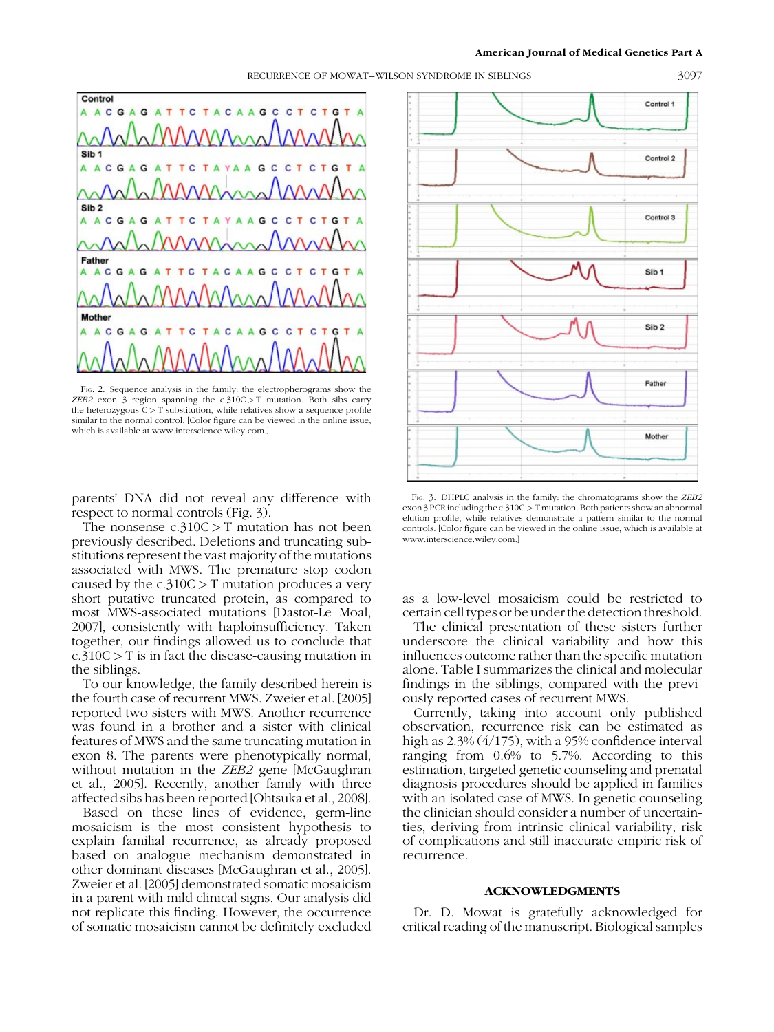#### American Journal of Medical Genetics Part A



FIG. 2. Sequence analysis in the family: the electropherograms show the ZEB2 exon  $\frac{1}{3}$  region spanning the c.310C > T mutation. Both sibs carry the heterozygous  $C > T$  substitution, while relatives show a sequence profile similar to the normal control. [Color figure can be viewed in the online issue, which is available at www.interscience.wiley.com.]

parents' DNA did not reveal any difference with respect to normal controls (Fig. 3).

The nonsense  $c.310C > T$  mutation has not been previously described. Deletions and truncating substitutions represent the vast majority of the mutations associated with MWS. The premature stop codon caused by the  $c.310C > T$  mutation produces a very short putative truncated protein, as compared to most MWS-associated mutations [Dastot-Le Moal, 2007], consistently with haploinsufficiency. Taken together, our findings allowed us to conclude that  $c.310C > T$  is in fact the disease-causing mutation in the siblings.

To our knowledge, the family described herein is the fourth case of recurrent MWS. Zweier et al. [2005] reported two sisters with MWS. Another recurrence was found in a brother and a sister with clinical features of MWS and the same truncating mutation in exon 8. The parents were phenotypically normal, without mutation in the *ZEB2* gene [McGaughran] et al., 2005]. Recently, another family with three affected sibs has been reported [Ohtsuka et al., 2008].

Based on these lines of evidence, germ-line mosaicism is the most consistent hypothesis to explain familial recurrence, as already proposed based on analogue mechanism demonstrated in other dominant diseases [McGaughran et al., 2005]. Zweier et al. [2005] demonstrated somatic mosaicism in a parent with mild clinical signs. Our analysis did not replicate this finding. However, the occurrence of somatic mosaicism cannot be definitely excluded



FIG. 3. DHPLC analysis in the family: the chromatograms show the ZEB2 exon 3 PCR including the c.310C > T mutation. Both patients show an abnormal elution profile, while relatives demonstrate a pattern similar to the normal controls. [Color figure can be viewed in the online issue, which is available at www.interscience.wiley.com.]

as a low-level mosaicism could be restricted to certain cell types or be under the detection threshold.

The clinical presentation of these sisters further underscore the clinical variability and how this influences outcome rather than the specific mutation alone. Table I summarizes the clinical and molecular findings in the siblings, compared with the previously reported cases of recurrent MWS.

Currently, taking into account only published observation, recurrence risk can be estimated as high as 2.3% (4/175), with a 95% confidence interval ranging from 0.6% to 5.7%. According to this estimation, targeted genetic counseling and prenatal diagnosis procedures should be applied in families with an isolated case of MWS. In genetic counseling the clinician should consider a number of uncertainties, deriving from intrinsic clinical variability, risk of complications and still inaccurate empiric risk of recurrence.

### ACKNOWLEDGMENTS

Dr. D. Mowat is gratefully acknowledged for critical reading of the manuscript. Biological samples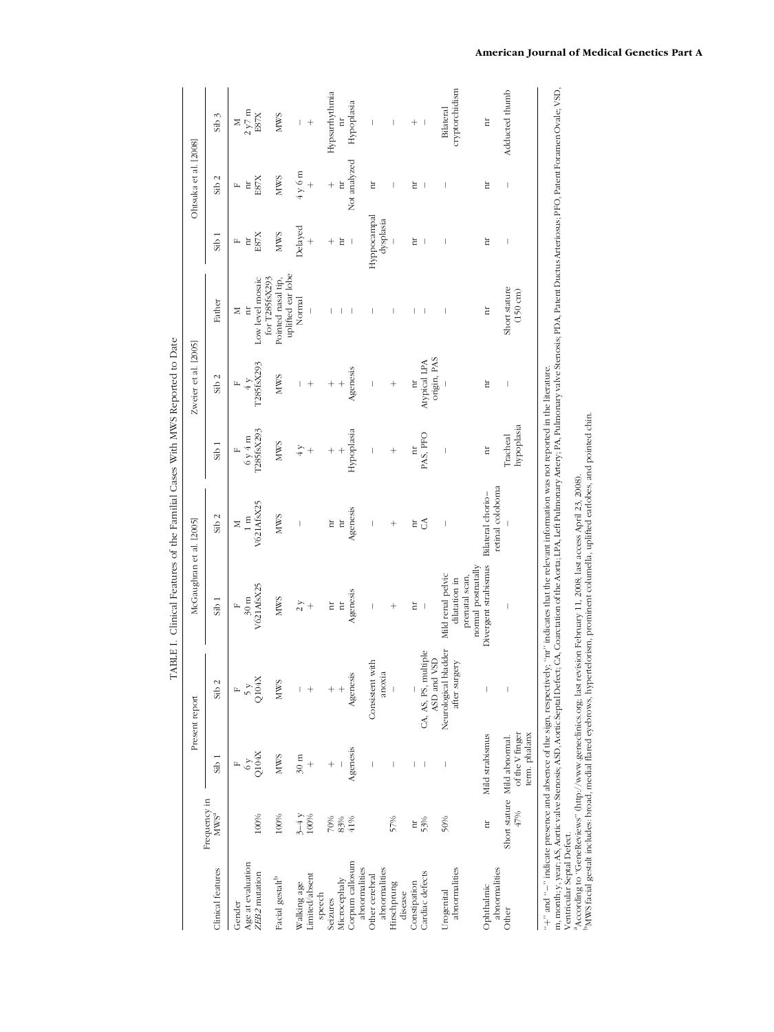|                                                                                                                                                       |                                  |                                                                  | Present report                      | McGaughran et al. [2005]                              |                                       |                                                                                        | Zweier et al. [2005]        |                                         |             | Ohtsuka et al. [2008]   |                          |
|-------------------------------------------------------------------------------------------------------------------------------------------------------|----------------------------------|------------------------------------------------------------------|-------------------------------------|-------------------------------------------------------|---------------------------------------|----------------------------------------------------------------------------------------|-----------------------------|-----------------------------------------|-------------|-------------------------|--------------------------|
| Clinical features                                                                                                                                     | Frequency in<br>MWS <sup>a</sup> | Sib1                                                             | Sib <sub>2</sub>                    | Sib1                                                  | Sib <sub>2</sub>                      | Sib1                                                                                   | Sib <sub>2</sub>            | Father                                  | Sib1        | Sib2                    | Sib <sub>3</sub>         |
| Gender                                                                                                                                                |                                  |                                                                  |                                     | щ                                                     | Σ                                     | щ                                                                                      | щ                           | Σ                                       | щ           |                         |                          |
| Age at evaluation                                                                                                                                     |                                  |                                                                  |                                     | $30~\mathrm{m}$                                       | $1 \text{ m}$                         |                                                                                        | 4y                          | Ħ                                       | Ħ           | Ħ                       | 2 y7 m                   |
| ZEB2 mutation                                                                                                                                         | 100%                             | Q104X                                                            | Q104X                               | V621AfsX25                                            | V621AfsX25                            | $\begin{array}{c} 6 \text{ y } 4 \text{ m} \\ 1285 \text{fs} \text{X} 293 \end{array}$ | T285fsX293                  | Low level mosaic<br>for T285fsX293      | E87X        | E87X                    | E87X                     |
| Facial gestalt <sup>b</sup>                                                                                                                           | 100%                             | <b>NWS</b>                                                       | <b>NWS</b>                          | <b>NWS</b>                                            | <b>NWS</b>                            | <b>NWS</b>                                                                             | <b>NWS</b>                  | uplifted ear lobe<br>Pointed nasal tip, | <b>NWS</b>  | <b>NWS</b>              | <b>NWS</b>               |
| Walking age                                                                                                                                           | $3-4y$                           | $30~\mathrm{m}$                                                  |                                     | $\frac{5}{2}$ +                                       | Í                                     | $\overline{4}$ y                                                                       | I                           | Normal                                  | Delayed     | $4y$ 6 m                | I                        |
| imited/absent                                                                                                                                         | 100%                             | $^{+}$                                                           | $^{+}$                              |                                                       |                                       | $^{+}$                                                                                 | $^{+}$                      |                                         | $^{+}$      | $^{+}$                  |                          |
| speech                                                                                                                                                |                                  |                                                                  |                                     |                                                       |                                       |                                                                                        |                             |                                         |             |                         |                          |
| Seizures                                                                                                                                              |                                  | $\hspace{0.1mm} +$                                               |                                     | Ħ                                                     | Ħ                                     | $^{+}$                                                                                 | $^{+}$                      |                                         | $^{+}$      | $^{+}$                  | Hypsarrhythmia           |
| Microcephaly                                                                                                                                          | $\frac{90\%}{83\%}$              |                                                                  |                                     | $\overline{\mathbb{H}}$                               | $\overline{\mathbf{H}}$               | $\frac{1}{2}$                                                                          | $^{+}$                      |                                         | Ħ           | $\overline{\mathbf{u}}$ | $\overline{\mathbf{a}}$  |
| Corpum callosum                                                                                                                                       | 41%                              | Agenesis                                                         | Agenesis                            | Agenesis                                              | Agenesis                              | Hypoplasia                                                                             | Agenesis                    |                                         | $\,$ $\,$   | Not analyzed            | Hypoplasia               |
| abnormalities                                                                                                                                         |                                  |                                                                  |                                     |                                                       |                                       |                                                                                        |                             |                                         |             |                         |                          |
| Other cerebral                                                                                                                                        |                                  | $\mid$                                                           | Consistent with                     | $\mid$                                                | $\mid$                                | $\mid$                                                                                 | $\mid$                      |                                         | Hyppocampal | Ħ                       |                          |
| abnormalities                                                                                                                                         |                                  |                                                                  | anoxia                              |                                                       |                                       |                                                                                        |                             |                                         | dysplasia   |                         |                          |
| Hirschprung                                                                                                                                           | 57%                              |                                                                  |                                     | $^{+}$                                                | $^+$                                  | $^{+}$                                                                                 | $^{+}$                      |                                         |             |                         |                          |
| disease                                                                                                                                               |                                  |                                                                  |                                     |                                                       |                                       |                                                                                        |                             |                                         |             |                         |                          |
| Constipation                                                                                                                                          | Ħ                                |                                                                  |                                     | Ħ                                                     | Ħ                                     | $\Xi$                                                                                  | hr                          |                                         | Ħ           | ă                       | $^{+}$                   |
| Cardiac defects                                                                                                                                       | 53%                              |                                                                  | CA, AS, PS, multiple<br>ASD and VSD | $\overline{1}$                                        | S                                     | PAS, PFO                                                                               | origin, PAS<br>Atypical LPA |                                         | П           |                         | $\overline{\phantom{a}}$ |
| Urogenital                                                                                                                                            | 50%                              | I                                                                | Neurological bladder                | Mild renal pelvic                                     | $\mid$                                | Ī                                                                                      |                             |                                         | I           |                         | Bilateral                |
| abnormalities                                                                                                                                         |                                  |                                                                  | after surgery                       | normal postnatally<br>prenatal scan,<br>dilatation in |                                       |                                                                                        |                             |                                         |             |                         | cryptorchidism           |
| abnormalities<br>Ophthalmic                                                                                                                           | Ħ                                | Mild strabismus                                                  | $\overline{\phantom{a}}$            | Divergent strabismus                                  | retinal coloboma<br>Bilateral chorio- | Ħ                                                                                      | Ħ                           | Ħ                                       | Ħ           | Ħ                       | hr                       |
| Other                                                                                                                                                 | 47%                              | of the V finger<br>term. phalanx<br>Short stature Mild abnormal. | $\overline{\phantom{a}}$            | Ï                                                     |                                       | hypoplasia<br>Tracheal                                                                 | I                           | Short stature<br>$(150 \text{ cm})$     | I           | I                       | Adducted thumb           |
| "+" and "-" indicate presence and absence of the sign, respectively; "nr" indicates that the relevant information was not reported in the literature. |                                  |                                                                  |                                     |                                                       |                                       |                                                                                        |                             |                                         |             |                         |                          |

TABLE I. Clinical Features of the Familial Cases With MWS Reported to Date TABLE I. Clinical Features of the Familial Cases With MWS Reported to Date m, month; y, year, AS, Aortic valve Stenosis; ASD, Aortic Septal Defect; CA, Coarctation of the Aorta; LPA, Left Pulmonary Artery; PA, Pulmonary valve Stenosis; PDA, Patent Ductus Arteriosus; PFO, Patent Foramen Ovale; VSD m, month; y, year; AS, Aortic valve Stenosis; ASD, Aortic Septal Defect; CA, Coarctation ofthe Aorta; LPA, Left Pulmonary Artery; PA, Pulmonary valve Stenosis; PDA, Patent Ductus Arteriosus; PFO, Patent Foramen Ovale; VSD, Ventricular Septal Defect.

aAccording to ''GeneReviews'' (http://www.geneclinics.org; last revision February 11, 2008; last access April 23, 2008). bMWS facial gestalt includes: broad, medial flared eyebrows, hypertelorism, prominent columella, uplifted earlobes, and pointed chin.